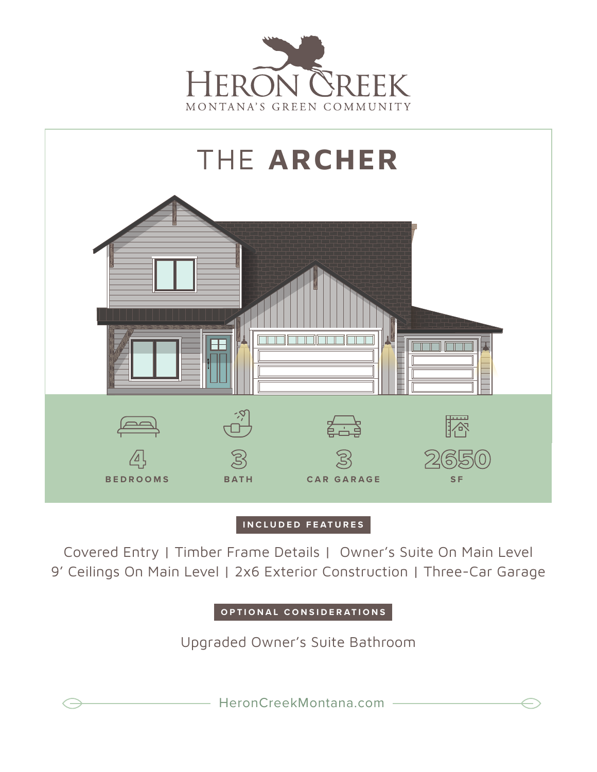



## **INCLUDED FEATURES**

Covered Entry | Timber Frame Details | Owner's Suite On Main Level 9' Ceilings On Main Level | 2x6 Exterior Construction | Three-Car Garage

**OPTIONAL CONSIDERATIONS**

Upgraded Owner's Suite Bathroom

HeronCreekMontana.com